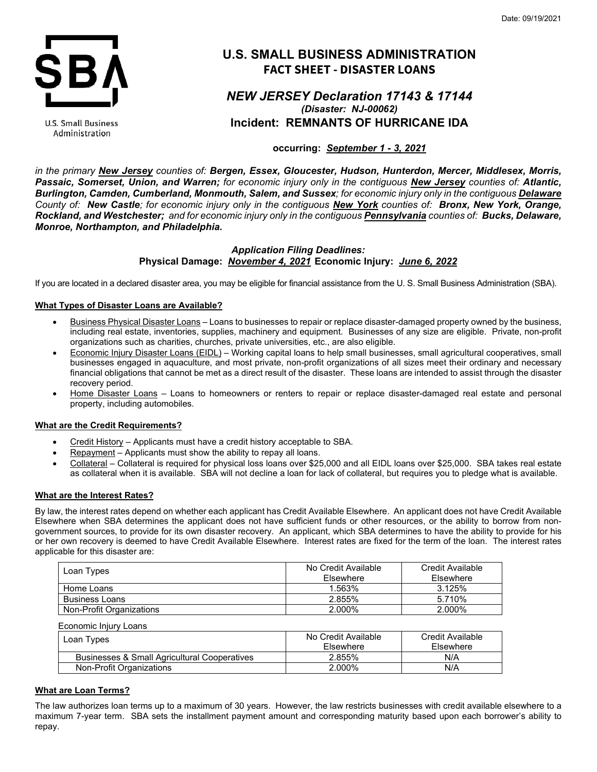

**U.S. Small Business** Administration

# **U.S. SMALL BUSINESS ADMINISTRATION FACT SHEET - DISASTER LOANS**

# *NEW JERSEY Declaration 17143 & 17144 (Disaster: NJ-00062)* **Incident: REMNANTS OF HURRICANE IDA**

# **occurring:** *September 1 - 3, 2021*

*in the primary New Jersey counties of: Bergen, Essex, Gloucester, Hudson, Hunterdon, Mercer, Middlesex, Morris, Passaic, Somerset, Union, and Warren; for economic injury only in the contiguous New Jersey counties of: Atlantic, Burlington, Camden, Cumberland, Monmouth, Salem, and Sussex; for economic injury only in the contiguous Delaware County of: New Castle; for economic injury only in the contiguous New York counties of: Bronx, New York, Orange, Rockland, and Westchester; and for economic injury only in the contiguous Pennsylvania counties of: Bucks, Delaware, Monroe, Northampton, and Philadelphia.*

## *Application Filing Deadlines:* **Physical Damage:** *November 4, 2021* **Economic Injury:** *June 6, 2022*

If you are located in a declared disaster area, you may be eligible for financial assistance from the U. S. Small Business Administration (SBA).

## **What Types of Disaster Loans are Available?**

- Business Physical Disaster Loans Loans to businesses to repair or replace disaster-damaged property owned by the business, including real estate, inventories, supplies, machinery and equipment. Businesses of any size are eligible. Private, non-profit organizations such as charities, churches, private universities, etc., are also eligible.
- Economic Injury Disaster Loans (EIDL) Working capital loans to help small businesses, small agricultural cooperatives, small businesses engaged in aquaculture, and most private, non-profit organizations of all sizes meet their ordinary and necessary financial obligations that cannot be met as a direct result of the disaster. These loans are intended to assist through the disaster recovery period.
- Home Disaster Loans Loans to homeowners or renters to repair or replace disaster-damaged real estate and personal property, including automobiles.

## **What are the Credit Requirements?**

- Credit History Applicants must have a credit history acceptable to SBA.
- Repayment Applicants must show the ability to repay all loans.
- Collateral Collateral is required for physical loss loans over \$25,000 and all EIDL loans over \$25,000. SBA takes real estate as collateral when it is available. SBA will not decline a loan for lack of collateral, but requires you to pledge what is available.

## **What are the Interest Rates?**

By law, the interest rates depend on whether each applicant has Credit Available Elsewhere. An applicant does not have Credit Available Elsewhere when SBA determines the applicant does not have sufficient funds or other resources, or the ability to borrow from nongovernment sources, to provide for its own disaster recovery. An applicant, which SBA determines to have the ability to provide for his or her own recovery is deemed to have Credit Available Elsewhere. Interest rates are fixed for the term of the loan. The interest rates applicable for this disaster are:

| Loan Types               | No Credit Available<br>Elsewhere | Credit Available<br>Elsewhere |
|--------------------------|----------------------------------|-------------------------------|
| Home Loans               | 1.563%                           | 3.125%                        |
| <b>Business Loans</b>    | 2.855%                           | 5.710%                        |
| Non-Profit Organizations | 2.000%                           | 2.000%                        |

| Economic Injury Loans                        |                     |                  |
|----------------------------------------------|---------------------|------------------|
| Loan Types                                   | No Credit Available | Credit Available |
|                                              | <b>Fisewhere</b>    | Elsewhere        |
| Businesses & Small Agricultural Cooperatives | 2.855%              | N/A              |
| Non-Profit Organizations                     | 2.000%              | N/A              |

## **What are Loan Terms?**

The law authorizes loan terms up to a maximum of 30 years. However, the law restricts businesses with credit available elsewhere to a maximum 7-year term. SBA sets the installment payment amount and corresponding maturity based upon each borrower's ability to repay.